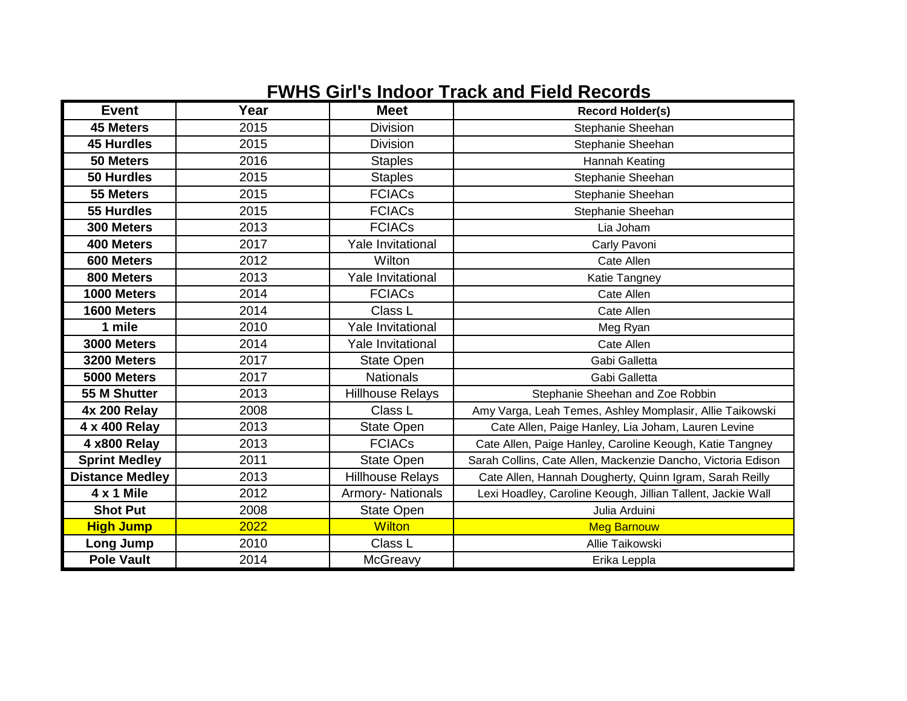## **FWHS Girl's Indoor Track and Field Records**

| <b>Event</b>           | Year | <b>Meet</b>              | <b>Record Holder(s)</b>                                      |
|------------------------|------|--------------------------|--------------------------------------------------------------|
| <b>45 Meters</b>       | 2015 | <b>Division</b>          | Stephanie Sheehan                                            |
| <b>45 Hurdles</b>      | 2015 | <b>Division</b>          | Stephanie Sheehan                                            |
| 50 Meters              | 2016 | <b>Staples</b>           | Hannah Keating                                               |
| <b>50 Hurdles</b>      | 2015 | <b>Staples</b>           | Stephanie Sheehan                                            |
| 55 Meters              | 2015 | <b>FCIACs</b>            | Stephanie Sheehan                                            |
| 55 Hurdles             | 2015 | <b>FCIACs</b>            | Stephanie Sheehan                                            |
| 300 Meters             | 2013 | <b>FCIACs</b>            | Lia Joham                                                    |
| 400 Meters             | 2017 | <b>Yale Invitational</b> | Carly Pavoni                                                 |
| 600 Meters             | 2012 | Wilton                   | Cate Allen                                                   |
| 800 Meters             | 2013 | <b>Yale Invitational</b> | Katie Tangney                                                |
| 1000 Meters            | 2014 | <b>FCIACs</b>            | Cate Allen                                                   |
| 1600 Meters            | 2014 | Class L                  | Cate Allen                                                   |
| 1 mile                 | 2010 | Yale Invitational        | Meg Ryan                                                     |
| 3000 Meters            | 2014 | <b>Yale Invitational</b> | Cate Allen                                                   |
| 3200 Meters            | 2017 | <b>State Open</b>        | Gabi Galletta                                                |
| 5000 Meters            | 2017 | <b>Nationals</b>         | Gabi Galletta                                                |
| 55 M Shutter           | 2013 | <b>Hillhouse Relays</b>  | Stephanie Sheehan and Zoe Robbin                             |
| <b>4x 200 Relay</b>    | 2008 | Class L                  | Amy Varga, Leah Temes, Ashley Momplasir, Allie Taikowski     |
| 4 x 400 Relay          | 2013 | <b>State Open</b>        | Cate Allen, Paige Hanley, Lia Joham, Lauren Levine           |
| 4 x800 Relay           | 2013 | <b>FCIACs</b>            | Cate Allen, Paige Hanley, Caroline Keough, Katie Tangney     |
| <b>Sprint Medley</b>   | 2011 | <b>State Open</b>        | Sarah Collins, Cate Allen, Mackenzie Dancho, Victoria Edison |
| <b>Distance Medley</b> | 2013 | <b>Hillhouse Relays</b>  | Cate Allen, Hannah Dougherty, Quinn Igram, Sarah Reilly      |
| 4 x 1 Mile             | 2012 | Armory- Nationals        | Lexi Hoadley, Caroline Keough, Jillian Tallent, Jackie Wall  |
| <b>Shot Put</b>        | 2008 | <b>State Open</b>        | Julia Arduini                                                |
| <b>High Jump</b>       | 2022 | <b>Wilton</b>            | <b>Meg Barnouw</b>                                           |
| Long Jump              | 2010 | Class L                  | Allie Taikowski                                              |
| <b>Pole Vault</b>      | 2014 | McGreavy                 | Erika Leppla                                                 |